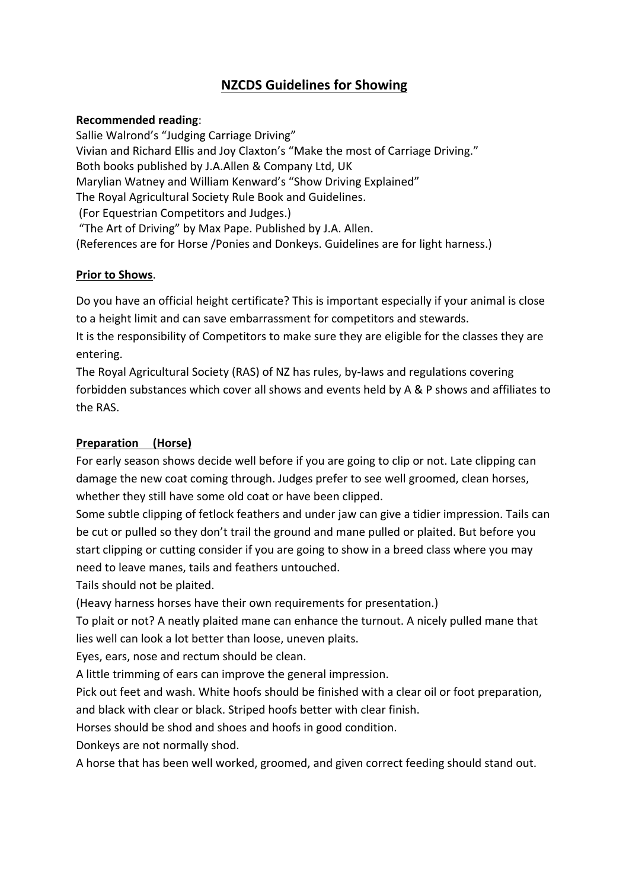# **NZCDS Guidelines for Showing**

### **Recommended reading**:

Sallie Walrond's "Judging Carriage Driving" Vivian and Richard Ellis and Joy Claxton's "Make the most of Carriage Driving." Both books published by J.A.Allen & Company Ltd, UK Marylian Watney and William Kenward's "Show Driving Explained" The Royal Agricultural Society Rule Book and Guidelines. (For Equestrian Competitors and Judges.) "The Art of Driving" by Max Pape. Published by J.A. Allen. (References are for Horse /Ponies and Donkeys. Guidelines are for light harness.)

### **Prior to Shows**.

Do you have an official height certificate? This is important especially if your animal is close to a height limit and can save embarrassment for competitors and stewards.

It is the responsibility of Competitors to make sure they are eligible for the classes they are entering.

The Royal Agricultural Society (RAS) of NZ has rules, by‐laws and regulations covering forbidden substances which cover all shows and events held by A & P shows and affiliates to the RAS.

### **Preparation (Horse)**

For early season shows decide well before if you are going to clip or not. Late clipping can damage the new coat coming through. Judges prefer to see well groomed, clean horses, whether they still have some old coat or have been clipped.

Some subtle clipping of fetlock feathers and under jaw can give a tidier impression. Tails can be cut or pulled so they don't trail the ground and mane pulled or plaited. But before you start clipping or cutting consider if you are going to show in a breed class where you may need to leave manes, tails and feathers untouched.

Tails should not be plaited.

(Heavy harness horses have their own requirements for presentation.)

To plait or not? A neatly plaited mane can enhance the turnout. A nicely pulled mane that lies well can look a lot better than loose, uneven plaits.

Eyes, ears, nose and rectum should be clean.

A little trimming of ears can improve the general impression.

Pick out feet and wash. White hoofs should be finished with a clear oil or foot preparation, and black with clear or black. Striped hoofs better with clear finish.

Horses should be shod and shoes and hoofs in good condition.

Donkeys are not normally shod.

A horse that has been well worked, groomed, and given correct feeding should stand out.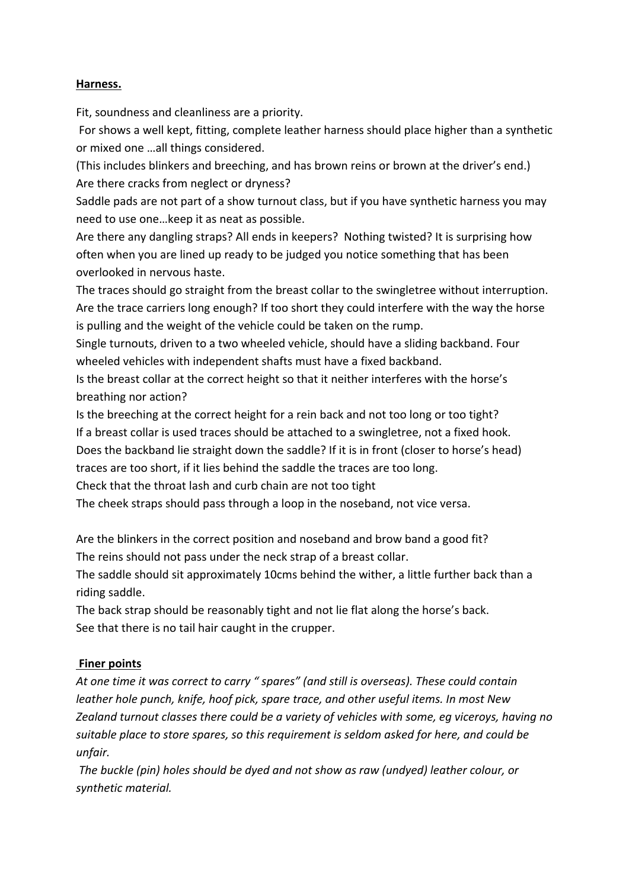### **Harness.**

Fit, soundness and cleanliness are a priority.

For shows a well kept, fitting, complete leather harness should place higher than a synthetic or mixed one …all things considered.

(This includes blinkers and breeching, and has brown reins or brown at the driver's end.) Are there cracks from neglect or dryness?

Saddle pads are not part of a show turnout class, but if you have synthetic harness you may need to use one…keep it as neat as possible.

Are there any dangling straps? All ends in keepers? Nothing twisted? It is surprising how often when you are lined up ready to be judged you notice something that has been overlooked in nervous haste.

The traces should go straight from the breast collar to the swingletree without interruption. Are the trace carriers long enough? If too short they could interfere with the way the horse is pulling and the weight of the vehicle could be taken on the rump.

Single turnouts, driven to a two wheeled vehicle, should have a sliding backband. Four wheeled vehicles with independent shafts must have a fixed backband.

Is the breast collar at the correct height so that it neither interferes with the horse's breathing nor action?

Is the breeching at the correct height for a rein back and not too long or too tight? If a breast collar is used traces should be attached to a swingletree, not a fixed hook.

Does the backband lie straight down the saddle? If it is in front (closer to horse's head)

traces are too short, if it lies behind the saddle the traces are too long.

Check that the throat lash and curb chain are not too tight

The cheek straps should pass through a loop in the noseband, not vice versa.

Are the blinkers in the correct position and noseband and brow band a good fit? The reins should not pass under the neck strap of a breast collar.

The saddle should sit approximately 10cms behind the wither, a little further back than a riding saddle.

The back strap should be reasonably tight and not lie flat along the horse's back. See that there is no tail hair caught in the crupper.

## **Finer points**

*At one time it was correct to carry " spares" (and still is overseas). These could contain leather hole punch, knife, hoof pick, spare trace, and other useful items. In most New Zealand turnout classes there could be a variety of vehicles with some, eg viceroys, having no suitable place to store spares, so this requirement is seldom asked for here, and could be unfair.* 

*The buckle (pin) holes should be dyed and not show as raw (undyed) leather colour, or synthetic material.*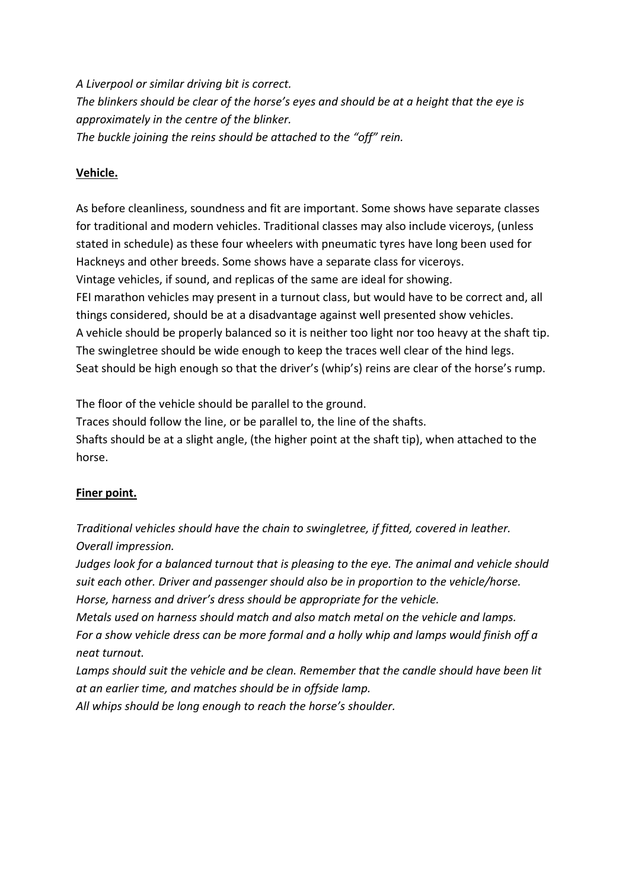*A Liverpool or similar driving bit is correct. The blinkers should be clear of the horse's eyes and should be at a height that the eye is approximately in the centre of the blinker. The buckle joining the reins should be attached to the "off" rein.*

### **Vehicle.**

As before cleanliness, soundness and fit are important. Some shows have separate classes for traditional and modern vehicles. Traditional classes may also include viceroys, (unless stated in schedule) as these four wheelers with pneumatic tyres have long been used for Hackneys and other breeds. Some shows have a separate class for viceroys. Vintage vehicles, if sound, and replicas of the same are ideal for showing. FEI marathon vehicles may present in a turnout class, but would have to be correct and, all things considered, should be at a disadvantage against well presented show vehicles. A vehicle should be properly balanced so it is neither too light nor too heavy at the shaft tip. The swingletree should be wide enough to keep the traces well clear of the hind legs. Seat should be high enough so that the driver's (whip's) reins are clear of the horse's rump.

The floor of the vehicle should be parallel to the ground.

Traces should follow the line, or be parallel to, the line of the shafts. Shafts should be at a slight angle, (the higher point at the shaft tip), when attached to the horse.

## **Finer point.**

*Traditional vehicles should have the chain to swingletree, if fitted, covered in leather. Overall impression.*

*Judges look for a balanced turnout that is pleasing to the eye. The animal and vehicle should suit each other. Driver and passenger should also be in proportion to the vehicle/horse. Horse, harness and driver's dress should be appropriate for the vehicle.*

*Metals used on harness should match and also match metal on the vehicle and lamps. For a show vehicle dress can be more formal and a holly whip and lamps would finish off a neat turnout.* 

*Lamps should suit the vehicle and be clean. Remember that the candle should have been lit at an earlier time, and matches should be in offside lamp. All whips should be long enough to reach the horse's shoulder.*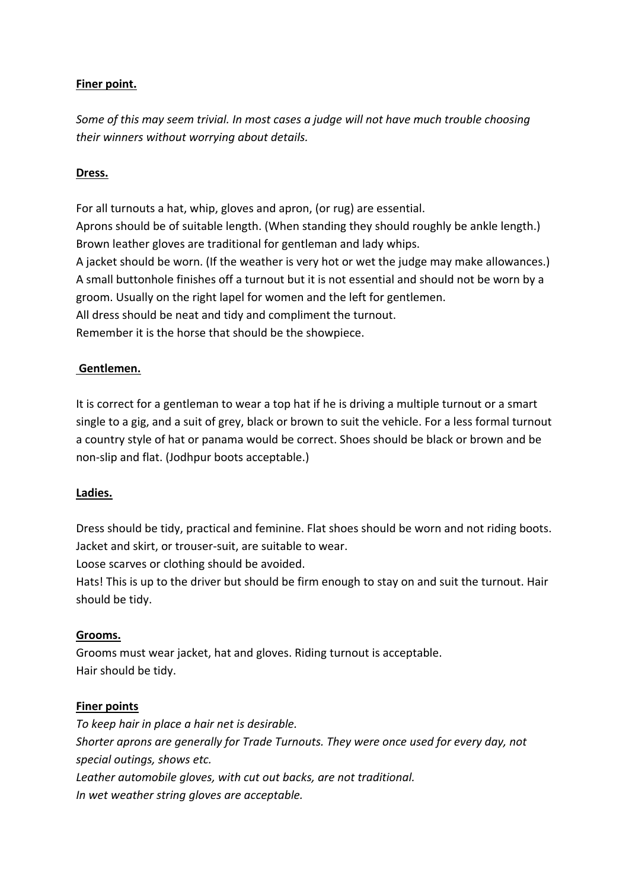### **Finer point.**

*Some of this may seem trivial. In most cases a judge will not have much trouble choosing their winners without worrying about details.*

### **Dress.**

For all turnouts a hat, whip, gloves and apron, (or rug) are essential. Aprons should be of suitable length. (When standing they should roughly be ankle length.) Brown leather gloves are traditional for gentleman and lady whips. A jacket should be worn. (If the weather is very hot or wet the judge may make allowances.) A small buttonhole finishes off a turnout but it is not essential and should not be worn by a groom. Usually on the right lapel for women and the left for gentlemen. All dress should be neat and tidy and compliment the turnout. Remember it is the horse that should be the showpiece.

#### **Gentlemen.**

It is correct for a gentleman to wear a top hat if he is driving a multiple turnout or a smart single to a gig, and a suit of grey, black or brown to suit the vehicle. For a less formal turnout a country style of hat or panama would be correct. Shoes should be black or brown and be non‐slip and flat. (Jodhpur boots acceptable.)

#### **Ladies.**

Dress should be tidy, practical and feminine. Flat shoes should be worn and not riding boots. Jacket and skirt, or trouser‐suit, are suitable to wear.

Loose scarves or clothing should be avoided.

Hats! This is up to the driver but should be firm enough to stay on and suit the turnout. Hair should be tidy.

#### **Grooms.**

Grooms must wear jacket, hat and gloves. Riding turnout is acceptable. Hair should be tidy.

#### **Finer points**

*To keep hair in place a hair net is desirable. Shorter aprons are generally for Trade Turnouts. They were once used for every day, not special outings, shows etc. Leather automobile gloves, with cut out backs, are not traditional. In wet weather string gloves are acceptable.*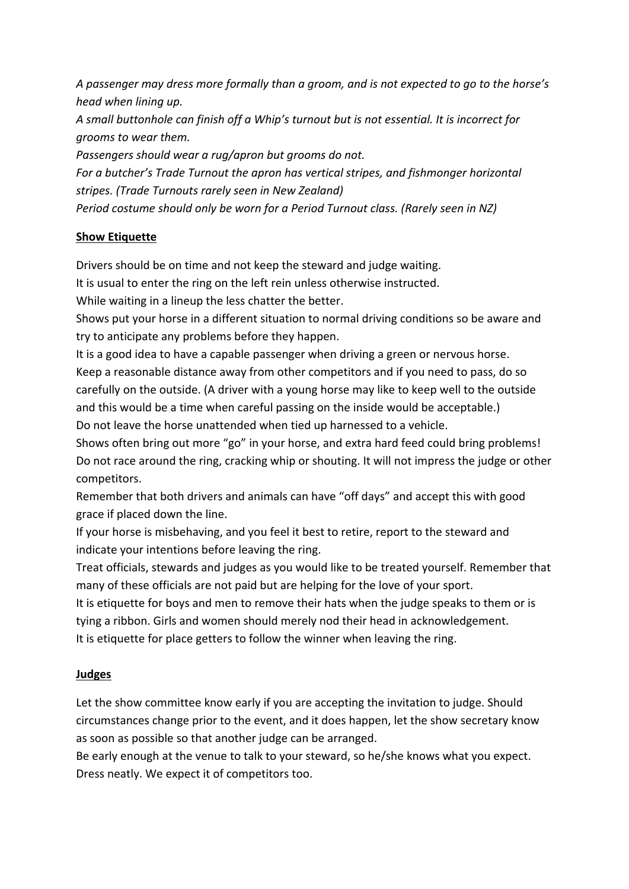*A passenger may dress more formally than a groom, and is not expected to go to the horse's head when lining up.*

*A small buttonhole can finish off a Whip's turnout but is not essential. It is incorrect for grooms to wear them.* 

*Passengers should wear a rug/apron but grooms do not.*

*For a butcher's Trade Turnout the apron has vertical stripes, and fishmonger horizontal stripes. (Trade Turnouts rarely seen in New Zealand) Period costume should only be worn for a Period Turnout class. (Rarely seen in NZ)*

### **Show Etiquette**

Drivers should be on time and not keep the steward and judge waiting.

It is usual to enter the ring on the left rein unless otherwise instructed.

While waiting in a lineup the less chatter the better.

Shows put your horse in a different situation to normal driving conditions so be aware and try to anticipate any problems before they happen.

It is a good idea to have a capable passenger when driving a green or nervous horse. Keep a reasonable distance away from other competitors and if you need to pass, do so carefully on the outside. (A driver with a young horse may like to keep well to the outside and this would be a time when careful passing on the inside would be acceptable.) Do not leave the horse unattended when tied up harnessed to a vehicle.

Shows often bring out more "go" in your horse, and extra hard feed could bring problems! Do not race around the ring, cracking whip or shouting. It will not impress the judge or other competitors.

Remember that both drivers and animals can have "off days" and accept this with good grace if placed down the line.

If your horse is misbehaving, and you feel it best to retire, report to the steward and indicate your intentions before leaving the ring.

Treat officials, stewards and judges as you would like to be treated yourself. Remember that many of these officials are not paid but are helping for the love of your sport.

It is etiquette for boys and men to remove their hats when the judge speaks to them or is tying a ribbon. Girls and women should merely nod their head in acknowledgement. It is etiquette for place getters to follow the winner when leaving the ring.

## **Judges**

Let the show committee know early if you are accepting the invitation to judge. Should circumstances change prior to the event, and it does happen, let the show secretary know as soon as possible so that another judge can be arranged.

Be early enough at the venue to talk to your steward, so he/she knows what you expect. Dress neatly. We expect it of competitors too.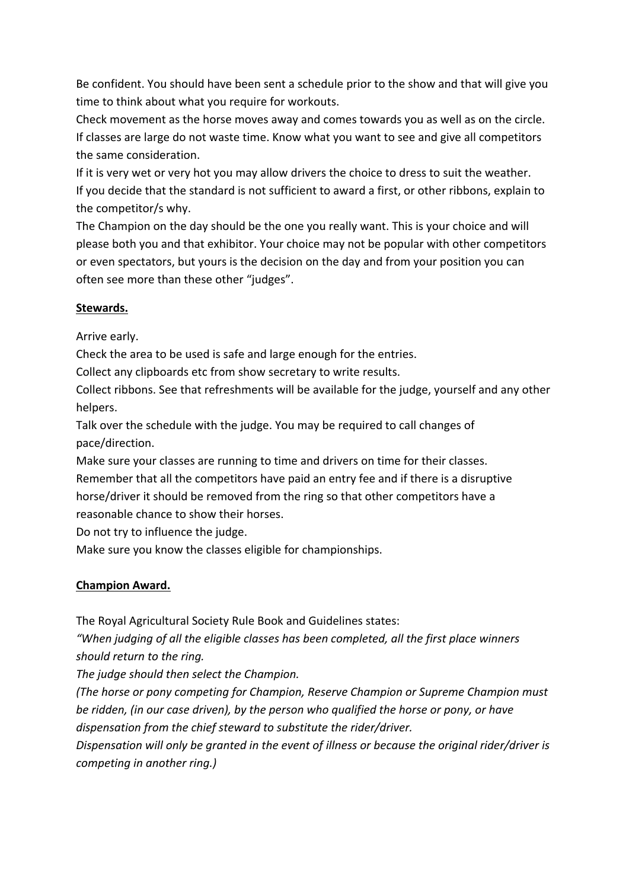Be confident. You should have been sent a schedule prior to the show and that will give you time to think about what you require for workouts.

Check movement as the horse moves away and comes towards you as well as on the circle. If classes are large do not waste time. Know what you want to see and give all competitors the same consideration.

If it is very wet or very hot you may allow drivers the choice to dress to suit the weather. If you decide that the standard is not sufficient to award a first, or other ribbons, explain to the competitor/s why.

The Champion on the day should be the one you really want. This is your choice and will please both you and that exhibitor. Your choice may not be popular with other competitors or even spectators, but yours is the decision on the day and from your position you can often see more than these other "judges".

### **Stewards.**

Arrive early.

Check the area to be used is safe and large enough for the entries.

Collect any clipboards etc from show secretary to write results.

Collect ribbons. See that refreshments will be available for the judge, yourself and any other helpers.

Talk over the schedule with the judge. You may be required to call changes of pace/direction.

Make sure your classes are running to time and drivers on time for their classes. Remember that all the competitors have paid an entry fee and if there is a disruptive horse/driver it should be removed from the ring so that other competitors have a reasonable chance to show their horses.

Do not try to influence the judge.

Make sure you know the classes eligible for championships.

## **Champion Award.**

The Royal Agricultural Society Rule Book and Guidelines states:

*"When judging of all the eligible classes has been completed, all the first place winners should return to the ring.*

*The judge should then select the Champion.* 

*(The horse or pony competing for Champion, Reserve Champion or Supreme Champion must be ridden, (in our case driven), by the person who qualified the horse or pony, or have dispensation from the chief steward to substitute the rider/driver.*

*Dispensation will only be granted in the event of illness or because the original rider/driver is competing in another ring.)*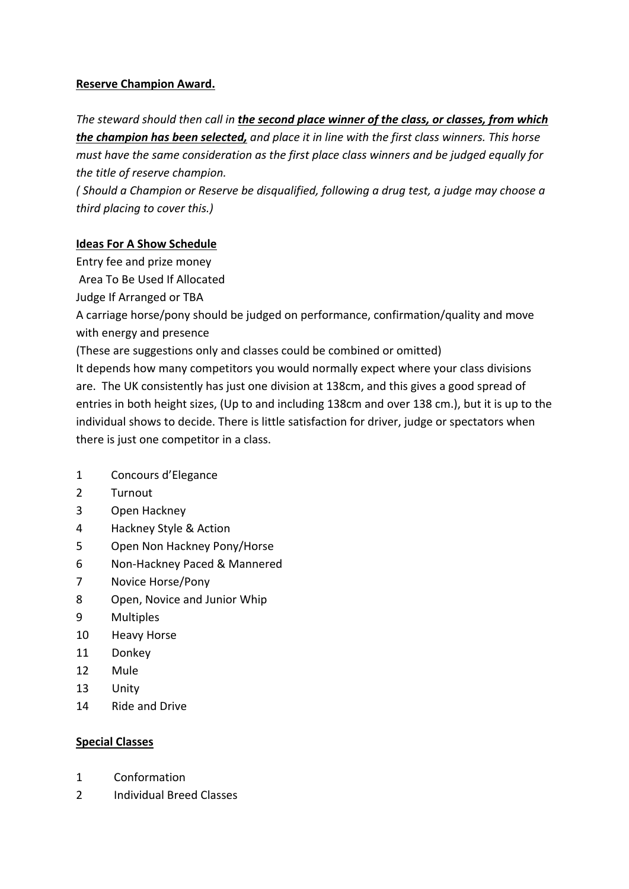### **Reserve Champion Award.**

*The steward should then call in the second place winner of the class, or classes, from which the champion has been selected, and place it in line with the first class winners. This horse must have the same consideration as the first place class winners and be judged equally for the title of reserve champion.*

*( Should a Champion or Reserve be disqualified, following a drug test, a judge may choose a third placing to cover this.)* 

### **Ideas For A Show Schedule**

Entry fee and prize money

Area To Be Used If Allocated

Judge If Arranged or TBA

A carriage horse/pony should be judged on performance, confirmation/quality and move with energy and presence

(These are suggestions only and classes could be combined or omitted)

It depends how many competitors you would normally expect where your class divisions are. The UK consistently has just one division at 138cm, and this gives a good spread of entries in both height sizes, (Up to and including 138cm and over 138 cm.), but it is up to the individual shows to decide. There is little satisfaction for driver, judge or spectators when there is just one competitor in a class.

- 1 Concours d'Elegance
- 2 Turnout
- 3 Open Hackney
- 4 Hackney Style & Action
- 5 Open Non Hackney Pony/Horse
- 6 Non‐Hackney Paced & Mannered
- 7 Novice Horse/Pony
- 8 Open, Novice and Junior Whip
- 9 Multiples
- 10 **Heavy Horse**
- 11 Donkey
- 12 Mule
- 13 Unity
- 14 Ride and Drive

#### **Special Classes**

- 1 Conformation
- 2 Individual Breed Classes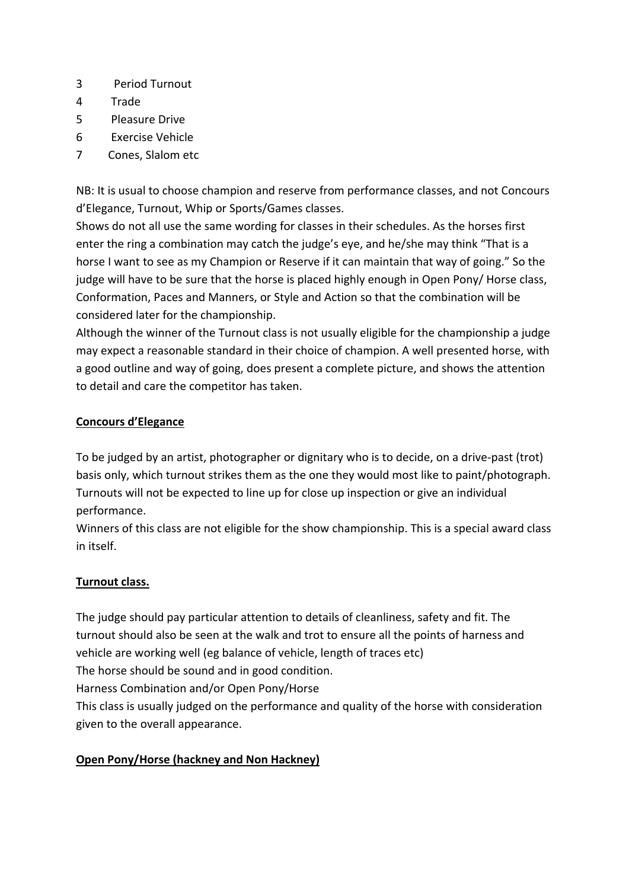- 3 Period Turnout
- 4 Trade
- 5 Pleasure Drive
- 6 Exercise Vehicle
- 7 Cones, Slalom etc

NB: It is usual to choose champion and reserve from performance classes, and not Concours d'Elegance, Turnout, Whip or Sports/Games classes.

Shows do not all use the same wording for classes in their schedules. As the horses first enter the ring a combination may catch the judge's eye, and he/she may think "That is a horse I want to see as my Champion or Reserve if it can maintain that way of going." So the judge will have to be sure that the horse is placed highly enough in Open Pony/ Horse class, Conformation, Paces and Manners, or Style and Action so that the combination will be considered later for the championship.

Although the winner of the Turnout class is not usually eligible for the championship a judge may expect a reasonable standard in their choice of champion. A well presented horse, with a good outline and way of going, does present a complete picture, and shows the attention to detail and care the competitor has taken.

## **Concours d'Elegance**

To be judged by an artist, photographer or dignitary who is to decide, on a drive‐past (trot) basis only, which turnout strikes them as the one they would most like to paint/photograph. Turnouts will not be expected to line up for close up inspection or give an individual performance.

Winners of this class are not eligible for the show championship. This is a special award class in itself.

## **Turnout class.**

The judge should pay particular attention to details of cleanliness, safety and fit. The turnout should also be seen at the walk and trot to ensure all the points of harness and vehicle are working well (eg balance of vehicle, length of traces etc)

The horse should be sound and in good condition.

Harness Combination and/or Open Pony/Horse

This class is usually judged on the performance and quality of the horse with consideration given to the overall appearance.

# **Open Pony/Horse (hackney and Non Hackney)**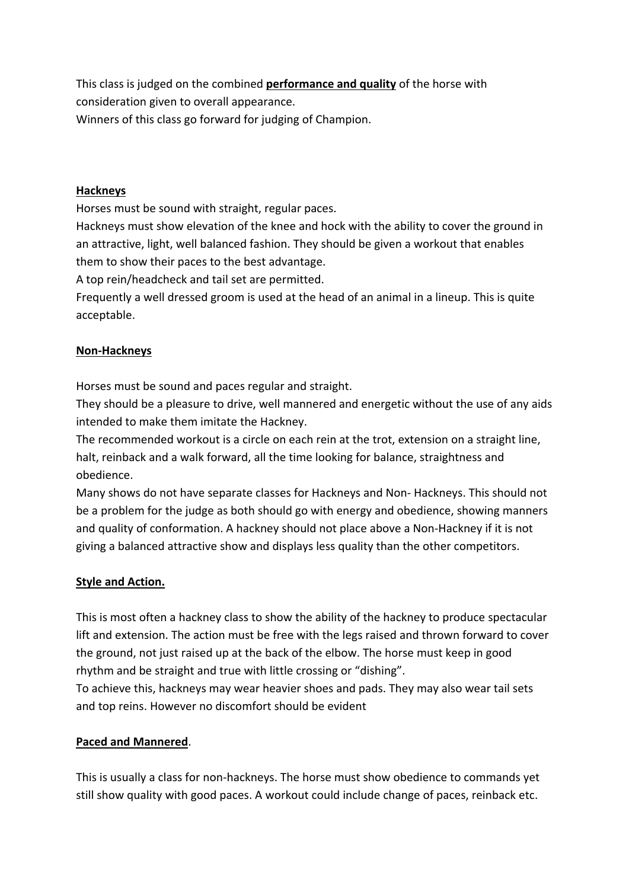This class is judged on the combined **performance and quality** of the horse with consideration given to overall appearance. Winners of this class go forward for judging of Champion.

#### **Hackneys**

Horses must be sound with straight, regular paces.

Hackneys must show elevation of the knee and hock with the ability to cover the ground in an attractive, light, well balanced fashion. They should be given a workout that enables them to show their paces to the best advantage.

A top rein/headcheck and tail set are permitted.

Frequently a well dressed groom is used at the head of an animal in a lineup. This is quite acceptable.

#### **Non‐Hackneys**

Horses must be sound and paces regular and straight.

They should be a pleasure to drive, well mannered and energetic without the use of any aids intended to make them imitate the Hackney.

The recommended workout is a circle on each rein at the trot, extension on a straight line, halt, reinback and a walk forward, all the time looking for balance, straightness and obedience.

Many shows do not have separate classes for Hackneys and Non‐ Hackneys. This should not be a problem for the judge as both should go with energy and obedience, showing manners and quality of conformation. A hackney should not place above a Non-Hackney if it is not giving a balanced attractive show and displays less quality than the other competitors.

#### **Style and Action.**

This is most often a hackney class to show the ability of the hackney to produce spectacular lift and extension. The action must be free with the legs raised and thrown forward to cover the ground, not just raised up at the back of the elbow. The horse must keep in good rhythm and be straight and true with little crossing or "dishing". To achieve this, hackneys may wear heavier shoes and pads. They may also wear tail sets and top reins. However no discomfort should be evident

#### **Paced and Mannered**.

This is usually a class for non-hackneys. The horse must show obedience to commands yet still show quality with good paces. A workout could include change of paces, reinback etc.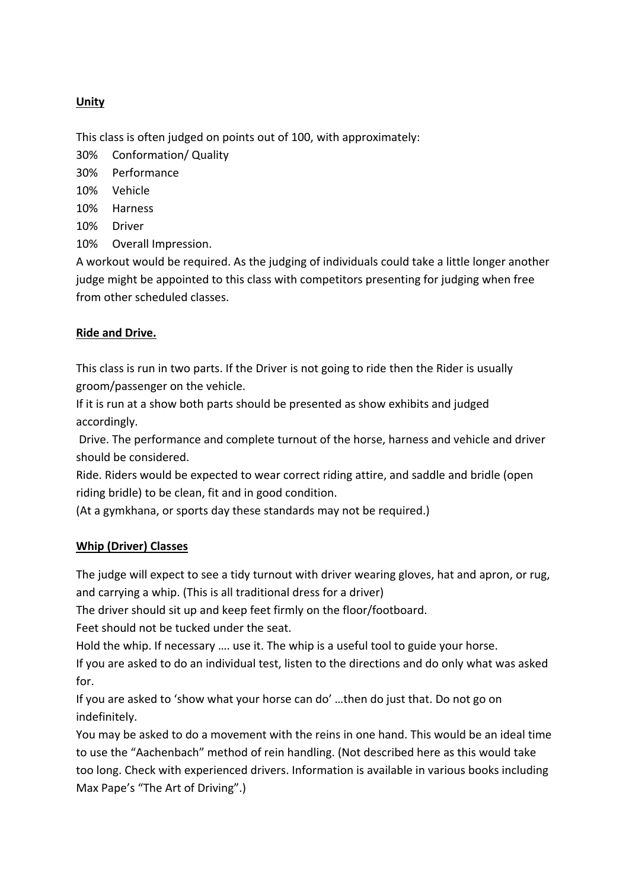### **Unity**

This class is often judged on points out of 100, with approximately:

- 30% Conformation/ Quality
- 30% Performance
- 10% Vehicle
- 10% Harness
- 10% Driver
- 10% Overall Impression.

A workout would be required. As the judging of individuals could take a little longer another judge might be appointed to this class with competitors presenting for judging when free from other scheduled classes.

### **Ride and Drive.**

This class is run in two parts. If the Driver is not going to ride then the Rider is usually groom/passenger on the vehicle.

If it is run at a show both parts should be presented as show exhibits and judged accordingly.

Drive. The performance and complete turnout of the horse, harness and vehicle and driver should be considered.

Ride. Riders would be expected to wear correct riding attire, and saddle and bridle (open riding bridle) to be clean, fit and in good condition.

(At a gymkhana, or sports day these standards may not be required.)

#### **Whip (Driver) Classes**

The judge will expect to see a tidy turnout with driver wearing gloves, hat and apron, or rug, and carrying a whip. (This is all traditional dress for a driver)

The driver should sit up and keep feet firmly on the floor/footboard.

Feet should not be tucked under the seat.

Hold the whip. If necessary …. use it. The whip is a useful tool to guide your horse.

If you are asked to do an individual test, listen to the directions and do only what was asked for.

If you are asked to 'show what your horse can do' …then do just that. Do not go on indefinitely.

You may be asked to do a movement with the reins in one hand. This would be an ideal time to use the "Aachenbach" method of rein handling. (Not described here as this would take too long. Check with experienced drivers. Information is available in various books including Max Pape's "The Art of Driving".)